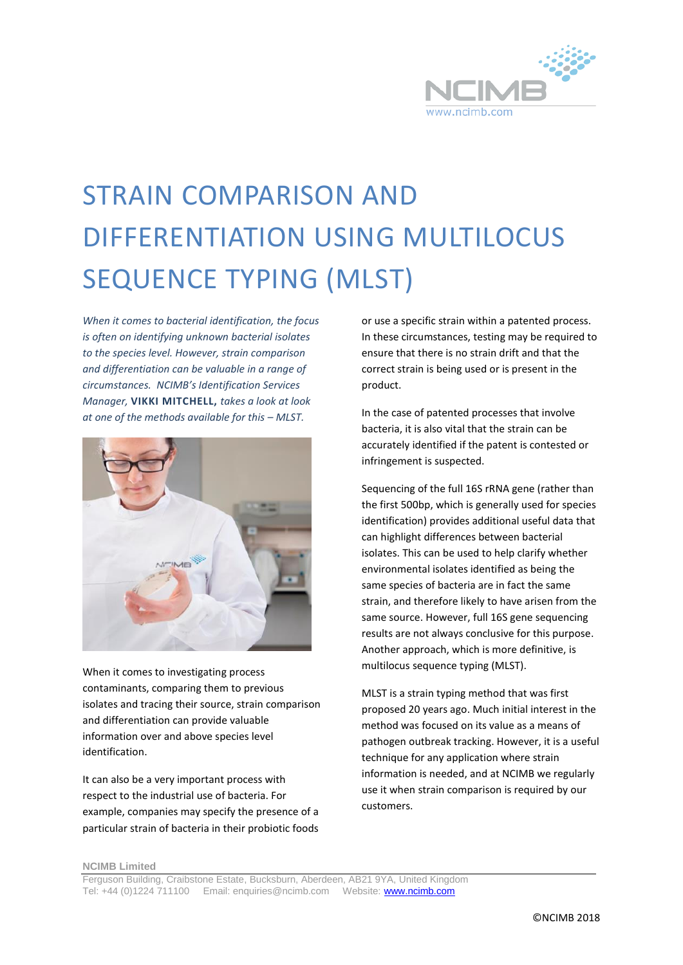

## STRAIN COMPARISON AND DIFFERENTIATION USING MULTILOCUS SEQUENCE TYPING (MLST)

*When it comes to bacterial identification, the focus is often on identifying unknown bacterial isolates to the species level. However, strain comparison and differentiation can be valuable in a range of circumstances. NCIMB's Identification Services Manager,* **VIKKI MITCHELL,** *takes a look at look at one of the methods available for this – MLST.*



When it comes to investigating process contaminants, comparing them to previous isolates and tracing their source, strain comparison and differentiation can provide valuable information over and above species level identification.

It can also be a very important process with respect to the industrial use of bacteria. For example, companies may specify the presence of a particular strain of bacteria in their probiotic foods or use a specific strain within a patented process. In these circumstances, testing may be required to ensure that there is no strain drift and that the correct strain is being used or is present in the product.

In the case of patented processes that involve bacteria, it is also vital that the strain can be accurately identified if the patent is contested or infringement is suspected.

Sequencing of the full 16S rRNA gene (rather than the first 500bp, which is generally used for species identification) provides additional useful data that can highlight differences between bacterial isolates. This can be used to help clarify whether environmental isolates identified as being the same species of bacteria are in fact the same strain, and therefore likely to have arisen from the same source. However, full 16S gene sequencing results are not always conclusive for this purpose. Another approach, which is more definitive, is multilocus sequence typing (MLST).

MLST is a strain typing method that was first proposed 20 years ago. Much initial interest in the method was focused on its value as a means of pathogen outbreak tracking. However, it is a useful technique for any application where strain information is needed, and at NCIMB we regularly use it when strain comparison is required by our customers.

**NCIMB Limited**

Ferguson Building, Craibstone Estate, Bucksburn, Aberdeen, AB21 9YA, United Kingdom Tel: +44 (0)1224 711100 Email: enquiries@ncimb.com Website[: www.ncimb.com](http://www.ncimb.com/)